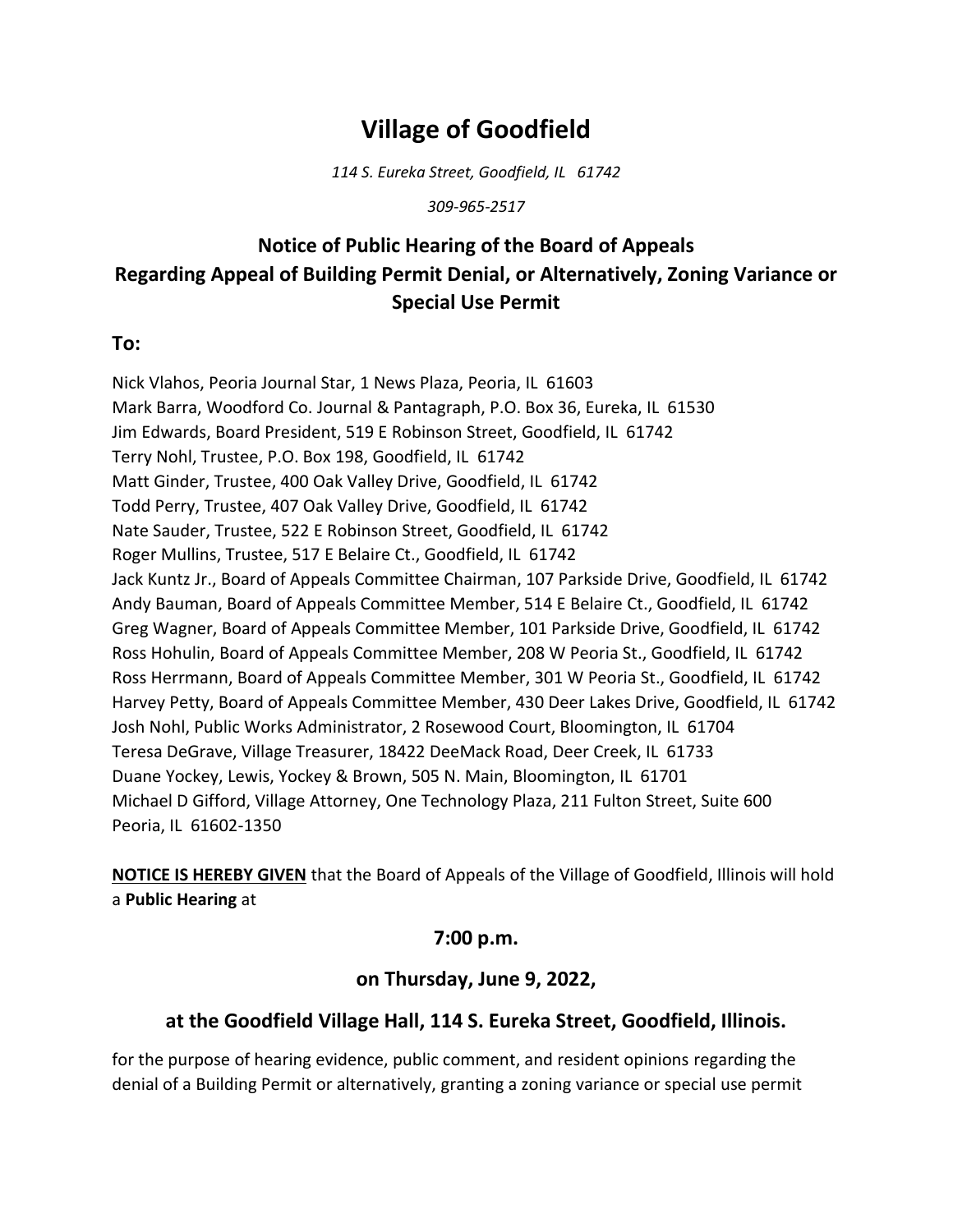# **Village of Goodfield**

*114 S. Eureka Street, Goodfield, IL 61742*

*309-965-2517*

## **Notice of Public Hearing of the Board of Appeals Regarding Appeal of Building Permit Denial, or Alternatively, Zoning Variance or Special Use Permit**

#### **To:**

Nick Vlahos, Peoria Journal Star, 1 News Plaza, Peoria, IL 61603 Mark Barra, Woodford Co. Journal & Pantagraph, P.O. Box 36, Eureka, IL 61530 Jim Edwards, Board President, 519 E Robinson Street, Goodfield, IL 61742 Terry Nohl, Trustee, P.O. Box 198, Goodfield, IL 61742 Matt Ginder, Trustee, 400 Oak Valley Drive, Goodfield, IL 61742 Todd Perry, Trustee, 407 Oak Valley Drive, Goodfield, IL 61742 Nate Sauder, Trustee, 522 E Robinson Street, Goodfield, IL 61742 Roger Mullins, Trustee, 517 E Belaire Ct., Goodfield, IL 61742 Jack Kuntz Jr., Board of Appeals Committee Chairman, 107 Parkside Drive, Goodfield, IL 61742 Andy Bauman, Board of Appeals Committee Member, 514 E Belaire Ct., Goodfield, IL 61742 Greg Wagner, Board of Appeals Committee Member, 101 Parkside Drive, Goodfield, IL 61742 Ross Hohulin, Board of Appeals Committee Member, 208 W Peoria St., Goodfield, IL 61742 Ross Herrmann, Board of Appeals Committee Member, 301 W Peoria St., Goodfield, IL 61742 Harvey Petty, Board of Appeals Committee Member, 430 Deer Lakes Drive, Goodfield, IL 61742 Josh Nohl, Public Works Administrator, 2 Rosewood Court, Bloomington, IL 61704 Teresa DeGrave, Village Treasurer, 18422 DeeMack Road, Deer Creek, IL 61733 Duane Yockey, Lewis, Yockey & Brown, 505 N. Main, Bloomington, IL 61701 Michael D Gifford, Village Attorney, One Technology Plaza, 211 Fulton Street, Suite 600 Peoria, IL 61602-1350

**NOTICE IS HEREBY GIVEN** that the Board of Appeals of the Village of Goodfield, Illinois will hold a **Public Hearing** at

### **7:00 p.m.**

### **on Thursday, June 9, 2022,**

### **at the Goodfield Village Hall, 114 S. Eureka Street, Goodfield, Illinois.**

for the purpose of hearing evidence, public comment, and resident opinions regarding the denial of a Building Permit or alternatively, granting a zoning variance or special use permit